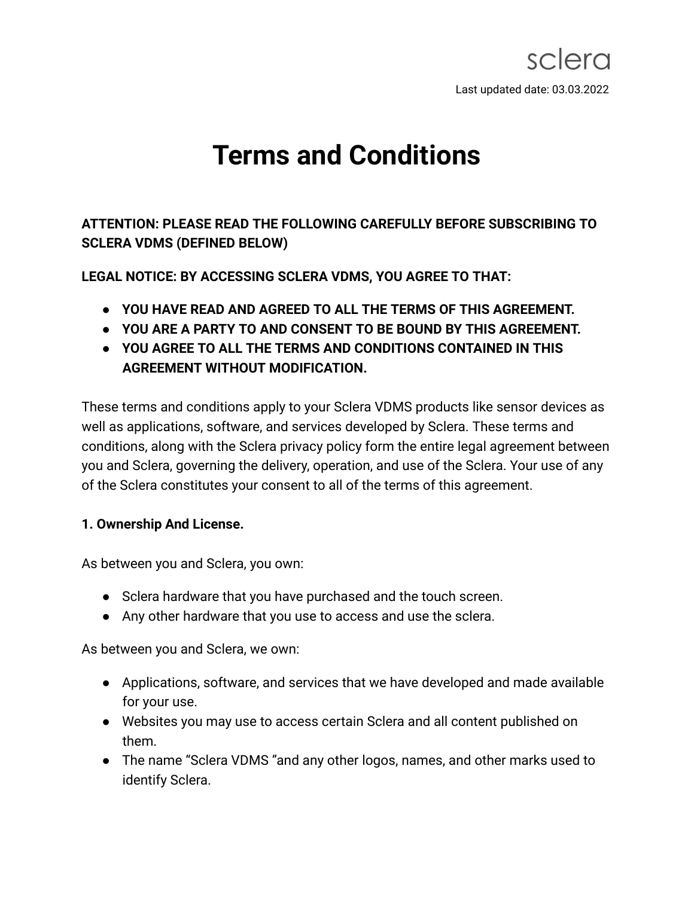# **Terms and Conditions**

**ATTENTION: PLEASE READ THE FOLLOWING CAREFULLY BEFORE SUBSCRIBING TO SCLERA VDMS (DEFINED BELOW)**

**LEGAL NOTICE: BY ACCESSING SCLERA VDMS, YOU AGREE TO THAT:**

- **YOU HAVE READ AND AGREED TO ALL THE TERMS OF THIS AGREEMENT.**
- **YOU ARE A PARTY TO AND CONSENT TO BE BOUND BY THIS AGREEMENT.**
- **YOU AGREE TO ALL THE TERMS AND CONDITIONS CONTAINED IN THIS AGREEMENT WITHOUT MODIFICATION.**

These terms and conditions apply to your Sclera VDMS products like sensor devices as well as applications, software, and services developed by Sclera. These terms and conditions, along with the Sclera privacy policy form the entire legal agreement between you and Sclera, governing the delivery, operation, and use of the Sclera. Your use of any of the Sclera constitutes your consent to all of the terms of this agreement.

## **1. Ownership And License.**

As between you and Sclera, you own:

- Sclera hardware that you have purchased and the touch screen.
- Any other hardware that you use to access and use the sclera.

As between you and Sclera, we own:

- Applications, software, and services that we have developed and made available for your use.
- Websites you may use to access certain Sclera and all content published on them.
- The name "Sclera VDMS "and any other logos, names, and other marks used to identify Sclera.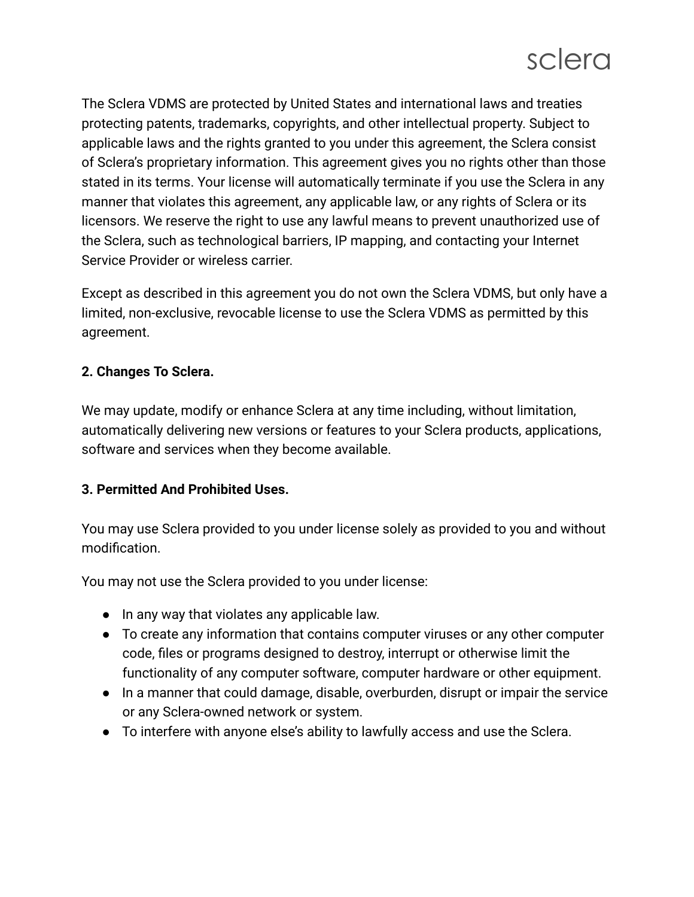The Sclera VDMS are protected by United States and international laws and treaties protecting patents, trademarks, copyrights, and other intellectual property. Subject to applicable laws and the rights granted to you under this agreement, the Sclera consist of Sclera's proprietary information. This agreement gives you no rights other than those stated in its terms. Your license will automatically terminate if you use the Sclera in any manner that violates this agreement, any applicable law, or any rights of Sclera or its licensors. We reserve the right to use any lawful means to prevent unauthorized use of the Sclera, such as technological barriers, IP mapping, and contacting your Internet Service Provider or wireless carrier.

Except as described in this agreement you do not own the Sclera VDMS, but only have a limited, non-exclusive, revocable license to use the Sclera VDMS as permitted by this agreement.

## **2. Changes To Sclera.**

We may update, modify or enhance Sclera at any time including, without limitation, automatically delivering new versions or features to your Sclera products, applications, software and services when they become available.

## **3. Permitted And Prohibited Uses.**

You may use Sclera provided to you under license solely as provided to you and without modification.

You may not use the Sclera provided to you under license:

- In any way that violates any applicable law.
- To create any information that contains computer viruses or any other computer code, files or programs designed to destroy, interrupt or otherwise limit the functionality of any computer software, computer hardware or other equipment.
- In a manner that could damage, disable, overburden, disrupt or impair the service or any Sclera-owned network or system.
- To interfere with anyone else's ability to lawfully access and use the Sclera.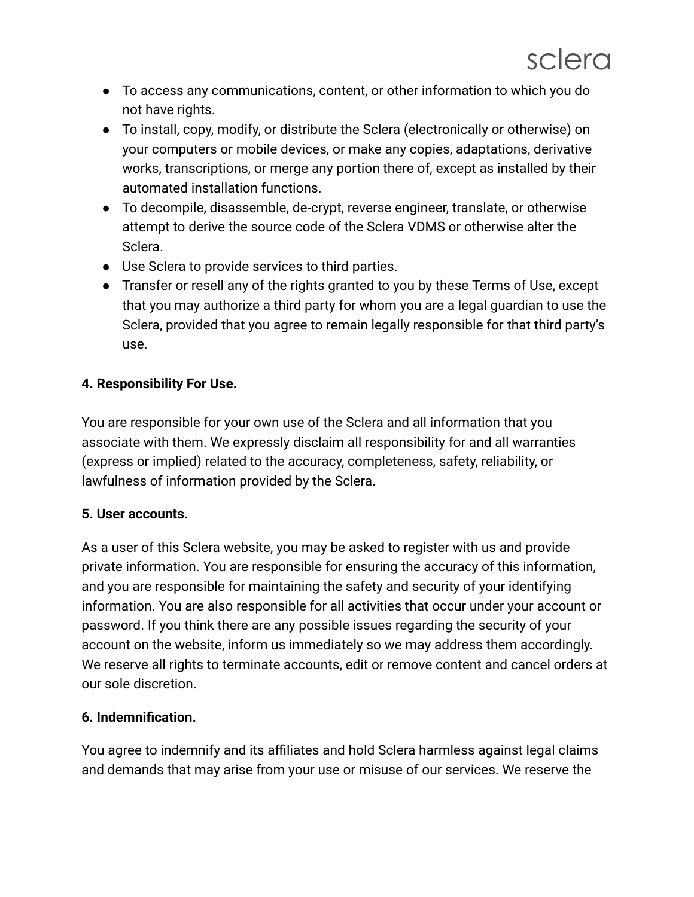- To access any communications, content, or other information to which you do not have rights.
- To install, copy, modify, or distribute the Sclera (electronically or otherwise) on your computers or mobile devices, or make any copies, adaptations, derivative works, transcriptions, or merge any portion there of, except as installed by their automated installation functions.
- To decompile, disassemble, de-crypt, reverse engineer, translate, or otherwise attempt to derive the source code of the Sclera VDMS or otherwise alter the Sclera.
- Use Sclera to provide services to third parties.
- Transfer or resell any of the rights granted to you by these Terms of Use, except that you may authorize a third party for whom you are a legal guardian to use the Sclera, provided that you agree to remain legally responsible for that third party's use.

# **4. Responsibility For Use.**

You are responsible for your own use of the Sclera and all information that you associate with them. We expressly disclaim all responsibility for and all warranties (express or implied) related to the accuracy, completeness, safety, reliability, or lawfulness of information provided by the Sclera.

## **5. User accounts.**

As a user of this Sclera website, you may be asked to register with us and provide private information. You are responsible for ensuring the accuracy of this information, and you are responsible for maintaining the safety and security of your identifying information. You are also responsible for all activities that occur under your account or password. If you think there are any possible issues regarding the security of your account on the website, inform us immediately so we may address them accordingly. We reserve all rights to terminate accounts, edit or remove content and cancel orders at our sole discretion.

## **6. Indemnification.**

You agree to indemnify and its affiliates and hold Sclera harmless against legal claims and demands that may arise from your use or misuse of our services. We reserve the